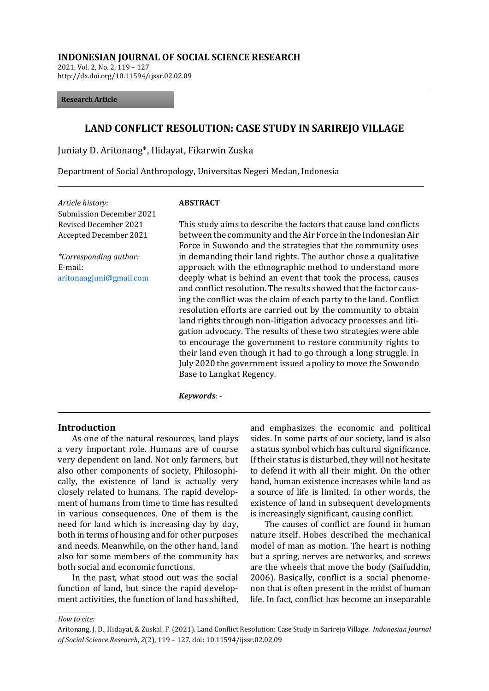#### **INDONESIAN JOURNAL OF SOCIAL SCIENCE RESEARCH**

2021, Vol. 2, No. 2, 119 – 127 http://dx.doi.org/10.11594/ijssr.02.02.09

#### **Research Article**

## **LAND CONFLICT RESOLUTION: CASE STUDY IN SARIREJO VILLAGE**

Juniaty D. Aritonang\*, Hidayat, Fikarwin Zuska

Department of Social Anthropology, Universitas Negeri Medan, Indonesia

*Article history*: Submission December 2021 Revised December 2021 Accepted December 2021

*\*Corresponding author:* E-mail: [aritonangjuni@gmail.com](mailto:aritonangjuni@gmail.com)

#### **ABSTRACT**

This study aims to describe the factors that cause land conflicts between the community and the Air Force in the Indonesian Air Force in Suwondo and the strategies that the community uses in demanding their land rights. The author chose a qualitative approach with the ethnographic method to understand more deeply what is behind an event that took the process, causes and conflict resolution. The results showed that the factor causing the conflict was the claim of each party to the land. Conflict resolution efforts are carried out by the community to obtain land rights through non-litigation advocacy processes and litigation advocacy. The results of these two strategies were able to encourage the government to restore community rights to their land even though it had to go through a long struggle. In July 2020 the government issued a policy to move the Sowondo Base to Langkat Regency.

*Keywords: -*

#### **Introduction**

As one of the natural resources, land plays a very important role. Humans are of course very dependent on land. Not only farmers, but also other components of society, Philosophically, the existence of land is actually very closely related to humans. The rapid development of humans from time to time has resulted in various consequences. One of them is the need for land which is increasing day by day, both in terms of housing and for other purposes and needs. Meanwhile, on the other hand, land also for some members of the community has both social and economic functions.

In the past, what stood out was the social function of land, but since the rapid development activities, the function of land has shifted, and emphasizes the economic and political sides. In some parts of our society, land is also a status symbol which has cultural significance. If their status is disturbed, they will not hesitate to defend it with all their might. On the other hand, human existence increases while land as a source of life is limited. In other words, the existence of land in subsequent developments is increasingly significant, causing conflict.

The causes of conflict are found in human nature itself. Hobes described the mechanical model of man as motion. The heart is nothing but a spring, nerves are networks, and screws are the wheels that move the body (Saifuddin, 2006). Basically, conflict is a social phenomenon that is often present in the midst of human life. In fact, conflict has become an inseparable

*How to cite:*

Aritonang, J. D., Hidayat, & Zuskal, F. (2021). Land Conflict Resolution: Case Study in Sarirejo Village. *Indonesian Journal of Social Science Research*, *2*(2), 119 – 127. doi: 10.11594/ijssr.02.02.09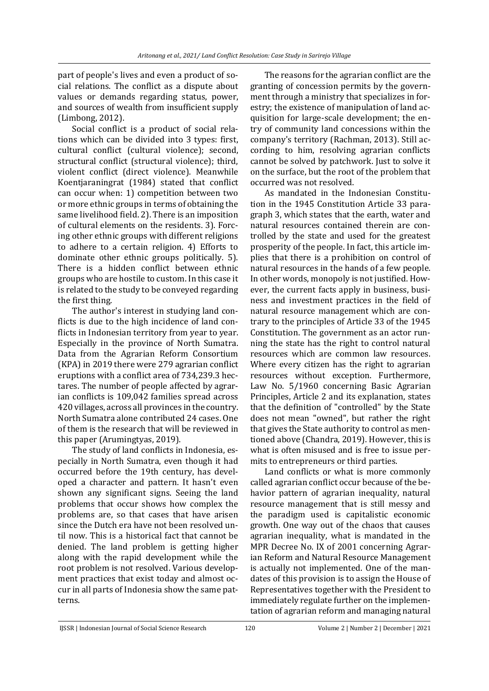part of people's lives and even a product of social relations. The conflict as a dispute about values or demands regarding status, power, and sources of wealth from insufficient supply (Limbong, 2012).

Social conflict is a product of social relations which can be divided into 3 types: first, cultural conflict (cultural violence); second, structural conflict (structural violence); third, violent conflict (direct violence). Meanwhile Koentjaraningrat (1984) stated that conflict can occur when: 1) competition between two or more ethnic groups in terms of obtaining the same livelihood field. 2). There is an imposition of cultural elements on the residents. 3). Forcing other ethnic groups with different religions to adhere to a certain religion. 4) Efforts to dominate other ethnic groups politically. 5). There is a hidden conflict between ethnic groups who are hostile to custom. In this case it is related to the study to be conveyed regarding the first thing.

The author's interest in studying land conflicts is due to the high incidence of land conflicts in Indonesian territory from year to year. Especially in the province of North Sumatra. Data from the Agrarian Reform Consortium (KPA) in 2019 there were 279 agrarian conflict eruptions with a conflict area of 734,239.3 hectares. The number of people affected by agrarian conflicts is 109,042 families spread across 420 villages, across all provinces in the country. North Sumatra alone contributed 24 cases. One of them is the research that will be reviewed in this paper (Arumingtyas, 2019).

The study of land conflicts in Indonesia, especially in North Sumatra, even though it had occurred before the 19th century, has developed a character and pattern. It hasn't even shown any significant signs. Seeing the land problems that occur shows how complex the problems are, so that cases that have arisen since the Dutch era have not been resolved until now. This is a historical fact that cannot be denied. The land problem is getting higher along with the rapid development while the root problem is not resolved. Various development practices that exist today and almost occur in all parts of Indonesia show the same patterns.

The reasons for the agrarian conflict are the granting of concession permits by the government through a ministry that specializes in forestry; the existence of manipulation of land acquisition for large-scale development; the entry of community land concessions within the company's territory (Rachman, 2013). Still according to him, resolving agrarian conflicts cannot be solved by patchwork. Just to solve it on the surface, but the root of the problem that occurred was not resolved.

As mandated in the Indonesian Constitution in the 1945 Constitution Article 33 paragraph 3, which states that the earth, water and natural resources contained therein are controlled by the state and used for the greatest prosperity of the people. In fact, this article implies that there is a prohibition on control of natural resources in the hands of a few people. In other words, monopoly is not justified. However, the current facts apply in business, business and investment practices in the field of natural resource management which are contrary to the principles of Article 33 of the 1945 Constitution. The government as an actor running the state has the right to control natural resources which are common law resources. Where every citizen has the right to agrarian resources without exception. Furthermore, Law No. 5/1960 concerning Basic Agrarian Principles, Article 2 and its explanation, states that the definition of "controlled" by the State does not mean "owned", but rather the right that gives the State authority to control as mentioned above (Chandra, 2019). However, this is what is often misused and is free to issue permits to entrepreneurs or third parties.

Land conflicts or what is more commonly called agrarian conflict occur because of the behavior pattern of agrarian inequality, natural resource management that is still messy and the paradigm used is capitalistic economic growth. One way out of the chaos that causes agrarian inequality, what is mandated in the MPR Decree No. IX of 2001 concerning Agrarian Reform and Natural Resource Management is actually not implemented. One of the mandates of this provision is to assign the House of Representatives together with the President to immediately regulate further on the implementation of agrarian reform and managing natural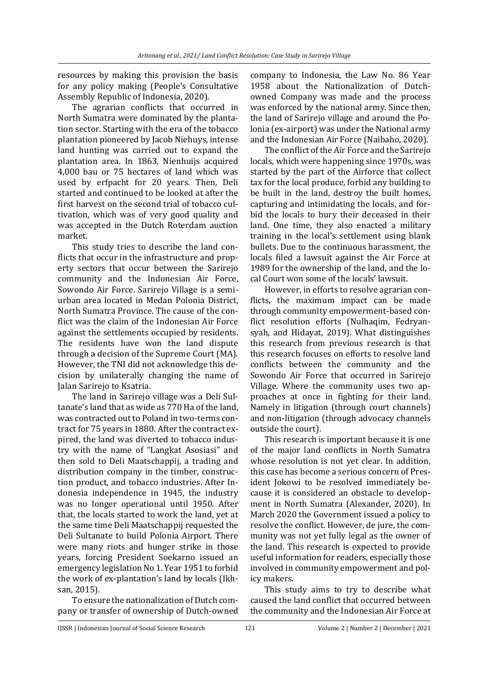resources by making this provision the basis for any policy making (People's Consultative Assembly Republic of Indonesia, 2020).

The agrarian conflicts that occurred in North Sumatra were dominated by the plantation sector. Starting with the era of the tobacco plantation pioneered by Jacob Niehuys, intense land hunting was carried out to expand the plantation area. In 1863, Nienhuijs acquired 4,000 bau or 75 hectares of land which was used by erfpacht for 20 years. Then, Deli started and continued to be looked at after the first harvest on the second trial of tobacco cultivation, which was of very good quality and was accepted in the Dutch Roterdam auction market.

This study tries to describe the land conflicts that occur in the infrastructure and property sectors that occur between the Sarirejo community and the Indonesian Air Force, Sowondo Air Force. Sarirejo Village is a semiurban area located in Medan Polonia District, North Sumatra Province. The cause of the conflict was the claim of the Indonesian Air Force against the settlements occupied by residents. The residents have won the land dispute through a decision of the Supreme Court (MA). However, the TNI did not acknowledge this decision by unilaterally changing the name of Jalan Sarirejo to Ksatria.

The land in Sarirejo village was a Deli Sultanate's land that as wide as 770 Ha of the land, was contracted out to Poland in two-terms contract for 75 years in 1880. After the contract expired, the land was diverted to tobacco industry with the name of "Langkat Asosiasi" and then sold to Deli Maatschappij, a trading and distribution company in the timber, construction product, and tobacco industries. After Indonesia independence in 1945, the industry was no longer operational until 1950. After that, the locals started to work the land, yet at the same time Deli Maatschappij requested the Deli Sultanate to build Polonia Airport. There were many riots and hunger strike in those years, forcing President Soekarno issued an emergency legislation No 1. Year 1951 to forbid the work of ex-plantation's land by locals (Ikhsan, 2015).

To ensure the nationalization of Dutch company or transfer of ownership of Dutch-owned

company to Indonesia, the Law No. 86 Year 1958 about the Nationalization of Dutchowned Company was made and the process was enforced by the national army. Since then, the land of Sarirejo village and around the Polonia (ex-airport) was under the National army and the Indonesian Air Force (Naibaho, 2020).

The conflict of the Air Force and the Sarirejo locals, which were happening since 1970s, was started by the part of the Airforce that collect tax for the local produce, forbid any building to be built in the land, destroy the built homes, capturing and intimidating the locals, and forbid the locals to bury their deceased in their land. One time, they also enacted a military training in the local's settlement using blank bullets. Due to the continuous harassment, the locals filed a lawsuit against the Air Force at 1989 for the ownership of the land, and the local Court won some of the locals' lawsuit.

However, in efforts to resolve agrarian conflicts, the maximum impact can be made through community empowerment-based conflict resolution efforts (Nulhaqim, Fedryansyah, and Hidayat, 2019). What distinguishes this research from previous research is that this research focuses on efforts to resolve land conflicts between the community and the Sowondo Air Force that occurred in Sarirejo Village. Where the community uses two approaches at once in fighting for their land. Namely in litigation (through court channels) and non-litigation (through advocacy channels outside the court).

This research is important because it is one of the major land conflicts in North Sumatra whose resolution is not yet clear. In addition, this case has become a serious concern of President Jokowi to be resolved immediately because it is considered an obstacle to development in North Sumatra (Alexander, 2020). In March 2020 the Government issued a policy to resolve the conflict. However, de jure, the community was not yet fully legal as the owner of the land. This research is expected to provide useful information for readers, especially those involved in community empowerment and policy makers.

This study aims to try to describe what caused the land conflict that occurred between the community and the Indonesian Air Force at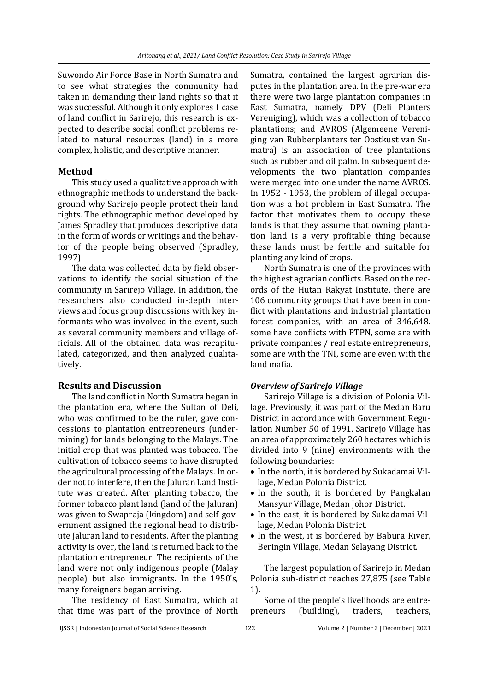Suwondo Air Force Base in North Sumatra and to see what strategies the community had taken in demanding their land rights so that it was successful. Although it only explores 1 case of land conflict in Sarirejo, this research is expected to describe social conflict problems related to natural resources (land) in a more complex, holistic, and descriptive manner.

## **Method**

This study used a qualitative approach with ethnographic methods to understand the background why Sarirejo people protect their land rights. The ethnographic method developed by James Spradley that produces descriptive data in the form of words or writings and the behavior of the people being observed (Spradley, 1997).

The data was collected data by field observations to identify the social situation of the community in Sarirejo Village. In addition, the researchers also conducted in-depth interviews and focus group discussions with key informants who was involved in the event, such as several community members and village officials. All of the obtained data was recapitulated, categorized, and then analyzed qualitatively.

## **Results and Discussion**

The land conflict in North Sumatra began in the plantation era, where the Sultan of Deli, who was confirmed to be the ruler, gave concessions to plantation entrepreneurs (undermining) for lands belonging to the Malays. The initial crop that was planted was tobacco. The cultivation of tobacco seems to have disrupted the agricultural processing of the Malays. In order not to interfere, then the Jaluran Land Institute was created. After planting tobacco, the former tobacco plant land (land of the Jaluran) was given to Swapraja (kingdom) and self-government assigned the regional head to distribute Jaluran land to residents. After the planting activity is over, the land is returned back to the plantation entrepreneur. The recipients of the land were not only indigenous people (Malay people) but also immigrants. In the 1950's, many foreigners began arriving.

The residency of East Sumatra, which at that time was part of the province of North Sumatra, contained the largest agrarian disputes in the plantation area. In the pre-war era there were two large plantation companies in East Sumatra, namely DPV (Deli Planters Vereniging), which was a collection of tobacco plantations; and AVROS (Algemeene Vereniging van Rubberplanters ter Oostkust van Sumatra) is an association of tree plantations such as rubber and oil palm. In subsequent developments the two plantation companies were merged into one under the name AVROS. In 1952 - 1953, the problem of illegal occupation was a hot problem in East Sumatra. The factor that motivates them to occupy these lands is that they assume that owning plantation land is a very profitable thing because these lands must be fertile and suitable for planting any kind of crops.

North Sumatra is one of the provinces with the highest agrarian conflicts. Based on the records of the Hutan Rakyat Institute, there are 106 community groups that have been in conflict with plantations and industrial plantation forest companies, with an area of 346,648. some have conflicts with PTPN, some are with private companies / real estate entrepreneurs, some are with the TNI, some are even with the land mafia.

## *Overview of Sarirejo Village*

Sarirejo Village is a division of Polonia Village. Previously, it was part of the Medan Baru District in accordance with Government Regulation Number 50 of 1991. Sarirejo Village has an area of approximately 260 hectares which is divided into 9 (nine) environments with the following boundaries:

- In the north, it is bordered by Sukadamai Village, Medan Polonia District.
- In the south, it is bordered by Pangkalan Mansyur Village, Medan Johor District.
- In the east, it is bordered by Sukadamai Village, Medan Polonia District.
- In the west, it is bordered by Babura River, Beringin Village, Medan Selayang District.

The largest population of Sarirejo in Medan Polonia sub-district reaches 27,875 (see Table 1).

Some of the people's livelihoods are entrepreneurs (building), traders, teachers,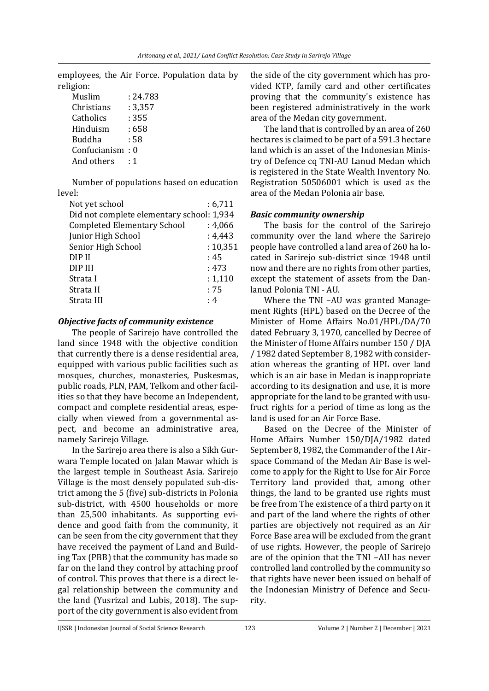employees, the Air Force. Population data by religion:

| Muslim       | : 24.783 |
|--------------|----------|
| Christians   | : 3,357  |
| Catholics    | : 355    |
| Hinduism     | : 658    |
| Buddha       | : 58     |
| Confucianism | : 0      |
| And others   | . 1      |

Number of populations based on education level:

| Not yet school                            | : 6,711   |
|-------------------------------------------|-----------|
| Did not complete elementary school: 1,934 |           |
| <b>Completed Elementary School</b>        | : 4,066   |
| Junior High School                        | :4,443    |
| Senior High School                        | : 10, 351 |
| DIP II                                    | :45       |
| DIP III                                   | : 473     |
| Strata I                                  | : 1,110   |
| Strata II                                 | :75       |
| Strata III                                | : 4       |
|                                           |           |

#### *Objective facts of community existence*

The people of Sarirejo have controlled the land since 1948 with the objective condition that currently there is a dense residential area, equipped with various public facilities such as mosques, churches, monasteries, Puskesmas, public roads, PLN, PAM, Telkom and other facilities so that they have become an Independent, compact and complete residential areas, especially when viewed from a governmental aspect, and become an administrative area, namely Sarirejo Village.

In the Sarirejo area there is also a Sikh Gurwara Temple located on Jalan Mawar which is the largest temple in Southeast Asia. Sarirejo Village is the most densely populated sub-district among the 5 (five) sub-districts in Polonia sub-district, with 4500 households or more than 25,500 inhabitants. As supporting evidence and good faith from the community, it can be seen from the city government that they have received the payment of Land and Building Tax (PBB) that the community has made so far on the land they control by attaching proof of control. This proves that there is a direct legal relationship between the community and the land (Yusrizal and Lubis, 2018). The support of the city government is also evident from the side of the city government which has provided KTP, family card and other certificates proving that the community's existence has been registered administratively in the work area of the Medan city government.

The land that is controlled by an area of 260 hectares is claimed to be part of a 591.3 hectare land which is an asset of the Indonesian Ministry of Defence cq TNI-AU Lanud Medan which is registered in the State Wealth Inventory No. Registration 50506001 which is used as the area of the Medan Polonia air base.

## *Basic community ownership*

The basis for the control of the Sarirejo community over the land where the Sarirejo people have controlled a land area of 260 ha located in Sarirejo sub-district since 1948 until now and there are no rights from other parties, except the statement of assets from the Danlanud Polonia TNI - AU.

Where the TNI –AU was granted Management Rights (HPL) based on the Decree of the Minister of Home Affairs No.01/HPL/DA/70 dated February 3, 1970, cancelled by Decree of the Minister of Home Affairs number 150 / DJA / 1982 dated September 8, 1982 with consideration whereas the granting of HPL over land which is an air base in Medan is inappropriate according to its designation and use, it is more appropriate for the land to be granted with usufruct rights for a period of time as long as the land is used for an Air Force Base.

Based on the Decree of the Minister of Home Affairs Number 150/DJA/1982 dated September 8, 1982, the Commander of the I Airspace Command of the Medan Air Base is welcome to apply for the Right to Use for Air Force Territory land provided that, among other things, the land to be granted use rights must be free from The existence of a third party on it and part of the land where the rights of other parties are objectively not required as an Air Force Base area will be excluded from the grant of use rights. However, the people of Sarirejo are of the opinion that the TNI –AU has never controlled land controlled by the community so that rights have never been issued on behalf of the Indonesian Ministry of Defence and Security.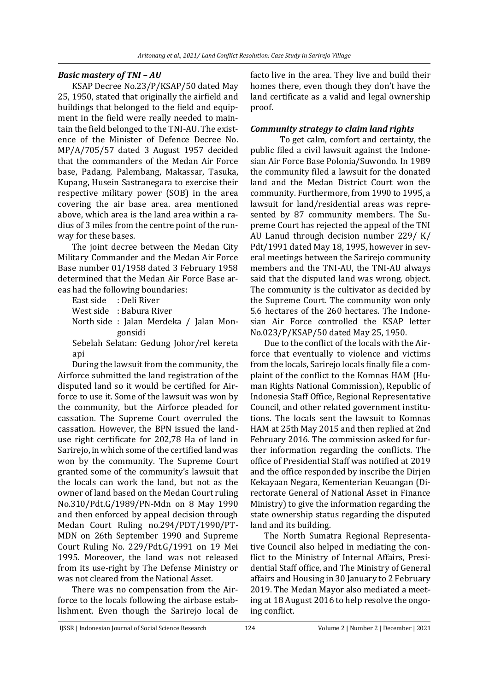#### *Basic mastery of TNI – AU*

KSAP Decree No.23/P/KSAP/50 dated May 25, 1950, stated that originally the airfield and buildings that belonged to the field and equipment in the field were really needed to maintain the field belonged to the TNI-AU. The existence of the Minister of Defence Decree No. MP/A/705/57 dated 3 August 1957 decided that the commanders of the Medan Air Force base, Padang, Palembang, Makassar, Tasuka, Kupang, Husein Sastranegara to exercise their respective military power (SOB) in the area covering the air base area. area mentioned above, which area is the land area within a radius of 3 miles from the centre point of the runway for these bases.

The joint decree between the Medan City Military Commander and the Medan Air Force Base number 01/1958 dated 3 February 1958 determined that the Medan Air Force Base areas had the following boundaries:

East side : Deli River

West side : Babura River

North side : Jalan Merdeka / Jalan Mongonsidi

Sebelah Selatan: Gedung Johor/rel kereta api

During the lawsuit from the community, the Airforce submitted the land registration of the disputed land so it would be certified for Airforce to use it. Some of the lawsuit was won by the community, but the Airforce pleaded for cassation. The Supreme Court overruled the cassation. However, the BPN issued the landuse right certificate for 202,78 Ha of land in Sarirejo, in which some of the certified land was won by the community. The Supreme Court granted some of the community's lawsuit that the locals can work the land, but not as the owner of land based on the Medan Court ruling No.310/Pdt.G/1989/PN-Mdn on 8 May 1990 and then enforced by appeal decision through Medan Court Ruling no.294/PDT/1990/PT-MDN on 26th September 1990 and Supreme Court Ruling No. 229/Pdt.G/1991 on 19 Mei 1995. Moreover, the land was not released from its use-right by The Defense Ministry or was not cleared from the National Asset.

There was no compensation from the Airforce to the locals following the airbase establishment. Even though the Sarirejo local de facto live in the area. They live and build their homes there, even though they don't have the land certificate as a valid and legal ownership proof.

#### *Community strategy to claim land rights*

To get calm, comfort and certainty, the public filed a civil lawsuit against the Indonesian Air Force Base Polonia/Suwondo. In 1989 the community filed a lawsuit for the donated land and the Medan District Court won the community. Furthermore, from 1990 to 1995, a lawsuit for land/residential areas was represented by 87 community members. The Supreme Court has rejected the appeal of the TNI AU Lanud through decision number 229/ K/ Pdt/1991 dated May 18, 1995, however in several meetings between the Sarirejo community members and the TNI-AU, the TNI-AU always said that the disputed land was wrong. object. The community is the cultivator as decided by the Supreme Court. The community won only 5.6 hectares of the 260 hectares. The Indonesian Air Force controlled the KSAP letter No.023/P/KSAP/50 dated May 25, 1950.

Due to the conflict of the locals with the Airforce that eventually to violence and victims from the locals, Sarirejo locals finally file a complaint of the conflict to the Komnas HAM (Human Rights National Commission), Republic of Indonesia Staff Office, Regional Representative Council, and other related government institutions. The locals sent the lawsuit to Komnas HAM at 25th May 2015 and then replied at 2nd February 2016. The commission asked for further information regarding the conflicts. The office of Presidential Staff was notified at 2019 and the office responded by inscribe the Dirjen Kekayaan Negara, Kementerian Keuangan (Directorate General of National Asset in Finance Ministry) to give the information regarding the state ownership status regarding the disputed land and its building.

The North Sumatra Regional Representative Council also helped in mediating the conflict to the Ministry of Internal Affairs, Presidential Staff office, and The Ministry of General affairs and Housing in 30 January to 2 February 2019. The Medan Mayor also mediated a meeting at 18 August 2016 to help resolve the ongoing conflict.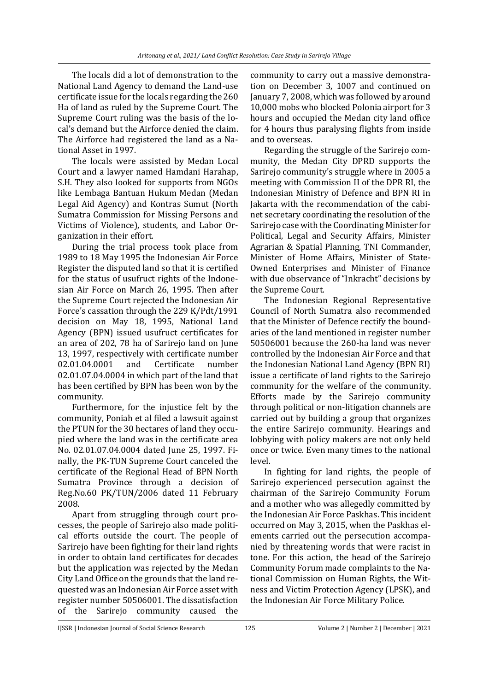The locals did a lot of demonstration to the National Land Agency to demand the Land-use certificate issue for the locals regarding the 260 Ha of land as ruled by the Supreme Court. The Supreme Court ruling was the basis of the local's demand but the Airforce denied the claim. The Airforce had registered the land as a National Asset in 1997.

The locals were assisted by Medan Local Court and a lawyer named Hamdani Harahap, S.H. They also looked for supports from NGOs like Lembaga Bantuan Hukum Medan (Medan Legal Aid Agency) and Kontras Sumut (North Sumatra Commission for Missing Persons and Victims of Violence), students, and Labor Organization in their effort.

During the trial process took place from 1989 to 18 May 1995 the Indonesian Air Force Register the disputed land so that it is certified for the status of usufruct rights of the Indonesian Air Force on March 26, 1995. Then after the Supreme Court rejected the Indonesian Air Force's cassation through the 229 K/Pdt/1991 decision on May 18, 1995, National Land Agency (BPN) issued usufruct certificates for an area of 202, 78 ha of Sarirejo land on June 13, 1997, respectively with certificate number 02.01.04.0001 and Certificate number 02.01.07.04.0004 in which part of the land that has been certified by BPN has been won by the community.

Furthermore, for the injustice felt by the community, Poniah et al filed a lawsuit against the PTUN for the 30 hectares of land they occupied where the land was in the certificate area No. 02.01.07.04.0004 dated June 25, 1997. Finally, the PK-TUN Supreme Court canceled the certificate of the Regional Head of BPN North Sumatra Province through a decision of Reg.No.60 PK/TUN/2006 dated 11 February 2008.

Apart from struggling through court processes, the people of Sarirejo also made political efforts outside the court. The people of Sarirejo have been fighting for their land rights in order to obtain land certificates for decades but the application was rejected by the Medan City Land Office on the grounds that the land requested was an Indonesian Air Force asset with register number 50506001. The dissatisfaction of the Sarirejo community caused the

community to carry out a massive demonstration on December 3, 1007 and continued on January 7, 2008, which was followed by around 10,000 mobs who blocked Polonia airport for 3 hours and occupied the Medan city land office for 4 hours thus paralysing flights from inside and to overseas.

Regarding the struggle of the Sarirejo community, the Medan City DPRD supports the Sarirejo community's struggle where in 2005 a meeting with Commission II of the DPR RI, the Indonesian Ministry of Defence and BPN RI in Jakarta with the recommendation of the cabinet secretary coordinating the resolution of the Sarirejo case with the Coordinating Minister for Political, Legal and Security Affairs, Minister Agrarian & Spatial Planning, TNI Commander, Minister of Home Affairs, Minister of State-Owned Enterprises and Minister of Finance with due observance of "Inkracht" decisions by the Supreme Court.

The Indonesian Regional Representative Council of North Sumatra also recommended that the Minister of Defence rectify the boundaries of the land mentioned in register number 50506001 because the 260-ha land was never controlled by the Indonesian Air Force and that the Indonesian National Land Agency (BPN RI) issue a certificate of land rights to the Sarirejo community for the welfare of the community. Efforts made by the Sarirejo community through political or non-litigation channels are carried out by building a group that organizes the entire Sarirejo community. Hearings and lobbying with policy makers are not only held once or twice. Even many times to the national level.

In fighting for land rights, the people of Sarirejo experienced persecution against the chairman of the Sarirejo Community Forum and a mother who was allegedly committed by the Indonesian Air Force Paskhas. This incident occurred on May 3, 2015, when the Paskhas elements carried out the persecution accompanied by threatening words that were racist in tone. For this action, the head of the Sarirejo Community Forum made complaints to the National Commission on Human Rights, the Witness and Victim Protection Agency (LPSK), and the Indonesian Air Force Military Police.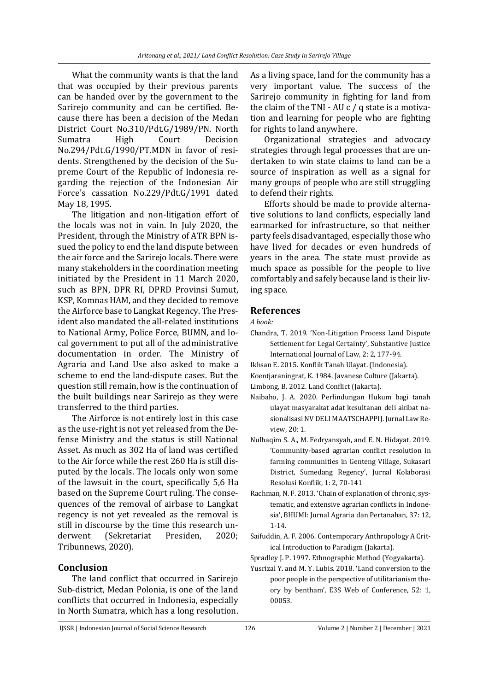What the community wants is that the land that was occupied by their previous parents can be handed over by the government to the Sarirejo community and can be certified. Because there has been a decision of the Medan District Court No.310/Pdt.G/1989/PN. North Sumatra High Court Decision No.294/Pdt.G/1990/PT.MDN in favor of residents. Strengthened by the decision of the Supreme Court of the Republic of Indonesia regarding the rejection of the Indonesian Air Force's cassation No.229/Pdt.G/1991 dated May 18, 1995.

The litigation and non-litigation effort of the locals was not in vain. In July 2020, the President, through the Ministry of ATR BPN issued the policy to end the land dispute between the air force and the Sarirejo locals. There were many stakeholders in the coordination meeting initiated by the President in 11 March 2020, such as BPN, DPR RI, DPRD Provinsi Sumut, KSP, Komnas HAM, and they decided to remove the Airforce base to Langkat Regency. The President also mandated the all-related institutions to National Army, Police Force, BUMN, and local government to put all of the administrative documentation in order. The Ministry of Agraria and Land Use also asked to make a scheme to end the land-dispute cases. But the question still remain, how is the continuation of the built buildings near Sarirejo as they were transferred to the third parties.

The Airforce is not entirely lost in this case as the use-right is not yet released from the Defense Ministry and the status is still National Asset. As much as 302 Ha of land was certified to the Air force while the rest 260 Ha is still disputed by the locals. The locals only won some of the lawsuit in the court, specifically 5,6 Ha based on the Supreme Court ruling. The consequences of the removal of airbase to Langkat regency is not yet revealed as the removal is still in discourse by the time this research underwent (Sekretariat Presiden, 2020; Tribunnews, 2020).

## **Conclusion**

The land conflict that occurred in Sarirejo Sub-district, Medan Polonia, is one of the land conflicts that occurred in Indonesia, especially in North Sumatra, which has a long resolution. As a living space, land for the community has a very important value. The success of the Sarirejo community in fighting for land from the claim of the TNI - AU c / q state is a motivation and learning for people who are fighting for rights to land anywhere.

Organizational strategies and advocacy strategies through legal processes that are undertaken to win state claims to land can be a source of inspiration as well as a signal for many groups of people who are still struggling to defend their rights.

Efforts should be made to provide alternative solutions to land conflicts, especially land earmarked for infrastructure, so that neither party feels disadvantaged, especially those who have lived for decades or even hundreds of years in the area. The state must provide as much space as possible for the people to live comfortably and safely because land is their living space.

# **References**

*A book:*

- Chandra, T. 2019. 'Non-Litigation Process Land Dispute Settlement for Legal Certainty', Substantive Justice International Journal of Law, 2: 2, 177-94.
- Ikhsan E. 2015. Konflik Tanah Ulayat. (Indonesia).
- Koentjaraningrat, K. 1984. Javanese Culture (Jakarta).
- Limbong, B. 2012. Land Conflict (Jakarta).
- Naibaho, J. A. 2020. Perlindungan Hukum bagi tanah ulayat masyarakat adat kesultanan deli akibat nasionalisasi NV DELI MAATSCHAPPIJ. Jurnal Law Review, 20: 1.
- Nulhaqim S. A., M. Fedryansyah, and E. N. Hidayat. 2019. 'Community-based agrarian conflict resolution in farming communities in Genteng Village, Sukasari District, Sumedang Regency', Jurnal Kolaborasi Resolusi Konflik, 1: 2, 70-141
- Rachman, N. F. 2013. 'Chain of explanation of chronic, systematic, and extensive agrarian conflicts in Indonesia', BHUMI: Jurnal Agraria dan Pertanahan, 37: 12, 1-14.
- Saifuddin, A. F. 2006. Contemporary Anthropology A Critical Introduction to Paradigm (Jakarta).
- Spradley J. P. 1997. Ethnographic Method (Yogyakarta).
- Yusrizal Y. and M. Y. Lubis. 2018. 'Land conversion to the poor people in the perspective of utilitarianism theory by bentham', E3S Web of Conference, 52: 1, 00053.